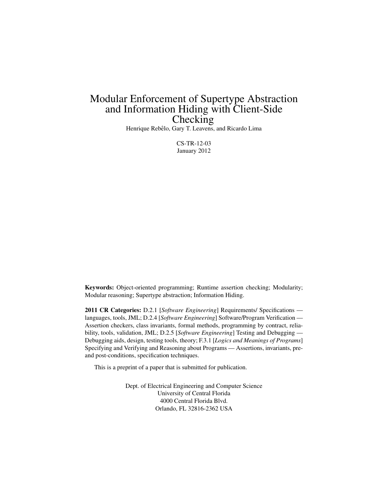# Modular Enforcement of Supertype Abstraction and Information Hiding with Client-Side **Checking**

Henrique Rebêlo, Gary T. Leavens, and Ricardo Lima

CS-TR-12-03 January 2012

Keywords: Object-oriented programming; Runtime assertion checking; Modularity; Modular reasoning; Supertype abstraction; Information Hiding.

2011 CR Categories: D.2.1 [*Software Engineering*] Requirements/ Specifications languages, tools, JML; D.2.4 [*Software Engineering*] Software/Program Verification — Assertion checkers, class invariants, formal methods, programming by contract, reliability, tools, validation, JML; D.2.5 [*Software Engineering*] Testing and Debugging — Debugging aids, design, testing tools, theory; F.3.1 [*Logics and Meanings of Programs*] Specifying and Verifying and Reasoning about Programs — Assertions, invariants, preand post-conditions, specification techniques.

This is a preprint of a paper that is submitted for publication.

Dept. of Electrical Engineering and Computer Science University of Central Florida 4000 Central Florida Blvd. Orlando, FL 32816-2362 USA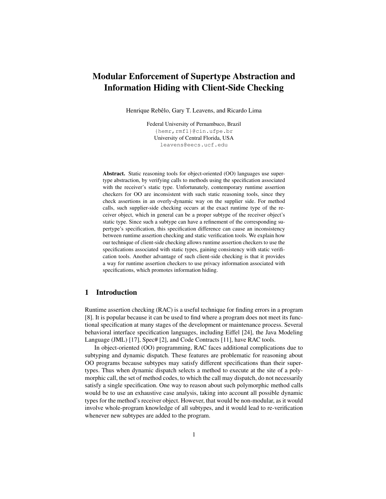## Modular Enforcement of Supertype Abstraction and Information Hiding with Client-Side Checking

Henrique Rebêlo, Gary T. Leavens, and Ricardo Lima

Federal University of Pernambuco, Brazil {hemr,rmfl}@cin.ufpe.br University of Central Florida, USA leavens@eecs.ucf.edu

Abstract. Static reasoning tools for object-oriented (OO) languages use supertype abstraction, by verifying calls to methods using the specification associated with the receiver's static type. Unfortunately, contemporary runtime assertion checkers for OO are inconsistent with such static reasoning tools, since they check assertions in an overly-dynamic way on the supplier side. For method calls, such supplier-side checking occurs at the exact runtime type of the receiver object, which in general can be a proper subtype of the receiver object's static type. Since such a subtype can have a refinement of the corresponding supertype's specification, this specification difference can cause an inconsistency between runtime assertion checking and static verification tools. We explain how our technique of client-side checking allows runtime assertion checkers to use the specifications associated with static types, gaining consistency with static verification tools. Another advantage of such client-side checking is that it provides a way for runtime assertion checkers to use privacy information associated with specifications, which promotes information hiding.

## 1 Introduction

Runtime assertion checking (RAC) is a useful technique for finding errors in a program [8]. It is popular because it can be used to find where a program does not meet its functional specification at many stages of the development or maintenance process. Several behavioral interface specification languages, including Eiffel [24], the Java Modeling Language (JML) [17], Spec# [2], and Code Contracts [11], have RAC tools.

In object-oriented (OO) programming, RAC faces additional complications due to subtyping and dynamic dispatch. These features are problematic for reasoning about OO programs because subtypes may satisfy different specifications than their supertypes. Thus when dynamic dispatch selects a method to execute at the site of a polymorphic call, the set of method codes, to which the call may dispatch, do not necessarily satisfy a single specification. One way to reason about such polymorphic method calls would be to use an exhaustive case analysis, taking into account all possible dynamic types for the method's receiver object. However, that would be non-modular, as it would involve whole-program knowledge of all subtypes, and it would lead to re-verification whenever new subtypes are added to the program.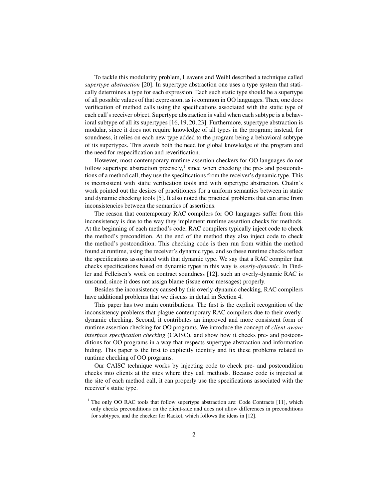To tackle this modularity problem, Leavens and Weihl described a technique called *supertype abstraction* [20]. In supertype abstraction one uses a type system that statically determines a type for each expression. Each such static type should be a supertype of all possible values of that expression, as is common in OO languages. Then, one does verification of method calls using the specifications associated with the static type of each call's receiver object. Supertype abstraction is valid when each subtype is a behavioral subtype of all its supertypes [16, 19, 20, 23]. Furthermore, supertype abstraction is modular, since it does not require knowledge of all types in the program; instead, for soundness, it relies on each new type added to the program being a behavioral subtype of its supertypes. This avoids both the need for global knowledge of the program and the need for respecification and reverification.

However, most contemporary runtime assertion checkers for OO languages do not follow supertype abstraction precisely, $<sup>1</sup>$  since when checking the pre- and postcondi-</sup> tions of a method call, they use the specifications from the receiver's dynamic type. This is inconsistent with static verification tools and with supertype abstraction. Chalin's work pointed out the desires of practitioners for a uniform semantics between in static and dynamic checking tools [5]. It also noted the practical problems that can arise from inconsistencies between the semantics of assertions.

The reason that contemporary RAC compilers for OO languages suffer from this inconsistency is due to the way they implement runtime assertion checks for methods. At the beginning of each method's code, RAC compilers typically inject code to check the method's precondition. At the end of the method they also inject code to check the method's postcondition. This checking code is then run from within the method found at runtime, using the receiver's dynamic type, and so these runtime checks reflect the specifications associated with that dynamic type. We say that a RAC compiler that checks specifications based on dynamic types in this way is *overly-dynamic*. In Findler and Felleisen's work on contract soundness [12], such an overly-dynamic RAC is unsound, since it does not assign blame (issue error messages) properly.

Besides the inconsistency caused by this overly-dynamic checking, RAC compilers have additional problems that we discuss in detail in Section 4.

This paper has two main contributions. The first is the explicit recognition of the inconsistency problems that plague contemporary RAC compilers due to their overlydynamic checking. Second, it contributes an improved and more consistent form of runtime assertion checking for OO programs. We introduce the concept of *client-aware interface specification checking* (CAISC), and show how it checks pre- and postconditions for OO programs in a way that respects supertype abstraction and information hiding. This paper is the first to explicitly identify and fix these problems related to runtime checking of OO programs.

Our CAISC technique works by injecting code to check pre- and postcondition checks into clients at the sites where they call methods. Because code is injected at the site of each method call, it can properly use the specifications associated with the receiver's static type.

<sup>&</sup>lt;sup>1</sup> The only OO RAC tools that follow supertype abstraction are: Code Contracts [11], which only checks preconditions on the client-side and does not allow differences in preconditions for subtypes, and the checker for Racket, which follows the ideas in [12].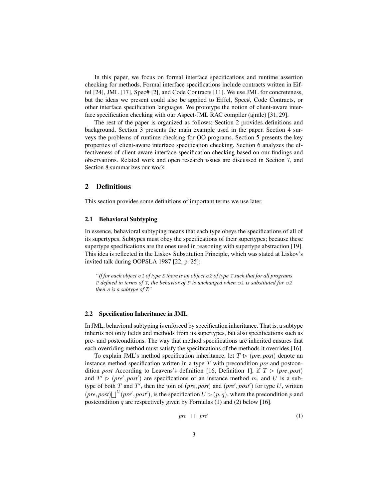In this paper, we focus on formal interface specifications and runtime assertion checking for methods. Formal interface specifications include contracts written in Eiffel [24], JML [17], Spec# [2], and Code Contracts [11]. We use JML for concreteness, but the ideas we present could also be applied to Eiffel, Spec#, Code Contracts, or other interface specification languages. We prototype the notion of client-aware interface specification checking with our Aspect-JML RAC compiler (ajmlc) [31, 29].

The rest of the paper is organized as follows: Section 2 provides definitions and background. Section 3 presents the main example used in the paper. Section 4 surveys the problems of runtime checking for OO programs. Section 5 presents the key properties of client-aware interface specification checking. Section 6 analyzes the effectiveness of client-aware interface specification checking based on our findings and observations. Related work and open research issues are discussed in Section 7, and Section 8 summarizes our work.

## 2 Definitions

This section provides some definitions of important terms we use later.

#### 2.1 Behavioral Subtyping

In essence, behavioral subtyping means that each type obeys the specifications of all of its supertypes. Subtypes must obey the specifications of their supertypes; because these supertype specifications are the ones used in reasoning with supertype abstraction [19]. This idea is reflected in the Liskov Substitution Principle, which was stated at Liskov's invited talk during OOPSLA 1987 [22, p. 25]:

*"If for each object* o1 *of type* S *there is an object* o2 *of type* T *such that for all programs* P *defined in terms of* T*, the behavior of* P *is unchanged when* o1 *is substituted for* o2 *then* S *is a subtype of T."*

#### 2.2 Specification Inheritance in JML

In JML, behavioral subtyping is enforced by specification inheritance. That is, a subtype inherits not only fields and methods from its supertypes, but also specifications such as pre- and postconditions. The way that method specifications are inherited ensures that each overriding method must satisfy the specifications of the methods it overrides [16].

To explain JML's method specification inheritance, let  $T \triangleright (pre, post)$  denote an instance method specification written in a type T with precondition *pre* and postcondition *post* According to Leavens's definition [16, Definition 1], if  $T \triangleright (pre, post)$ and  $T' > (pre', post')$  are specifications of an instance method m, and U is a subtype of both  $T$  and  $T'$ , then the join of (*pre*, *post*) and (*pre*<sup>'</sup>, *post*<sup>'</sup>) for type  $U$ , written  $(pre, post) \lfloor \int_0^U (pre', post')$ , is the specification  $U \triangleright (p, q)$ , where the precondition p and postcondition  $q$  are respectively given by Formulas (1) and (2) below [16].

$$
pre \mid \mid pre' \tag{1}
$$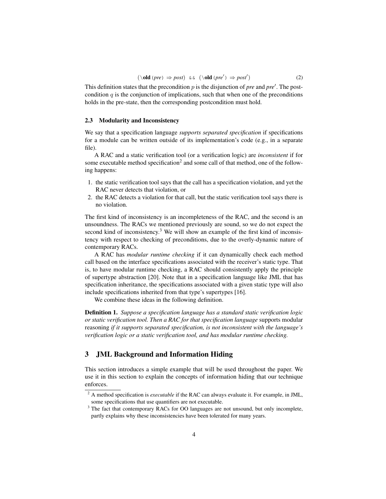$$
(\text{old } (pre) \Rightarrow post) \&& (\text{old } (pre') \Rightarrow post')
$$
 (2)

This definition states that the precondition  $p$  is the disjunction of *pre* and  $pre'$ . The postcondition  $q$  is the conjunction of implications, such that when one of the preconditions holds in the pre-state, then the corresponding postcondition must hold.

## 2.3 Modularity and Inconsistency

We say that a specification language *supports separated specification* if specifications for a module can be written outside of its implementation's code (e.g., in a separate file).

A RAC and a static verification tool (or a verification logic) are *inconsistent* if for some executable method specification<sup>2</sup> and some call of that method, one of the following happens:

- 1. the static verification tool says that the call has a specification violation, and yet the RAC never detects that violation, or
- 2. the RAC detects a violation for that call, but the static verification tool says there is no violation.

The first kind of inconsistency is an incompleteness of the RAC, and the second is an unsoundness. The RACs we mentioned previously are sound, so we do not expect the second kind of inconsistency.<sup>3</sup> We will show an example of the first kind of inconsistency with respect to checking of preconditions, due to the overly-dynamic nature of contemporary RACs.

A RAC has *modular runtime checking* if it can dynamically check each method call based on the interface specifications associated with the receiver's static type. That is, to have modular runtime checking, a RAC should consistently apply the principle of supertype abstraction [20]. Note that in a specification language like JML that has specification inheritance, the specifications associated with a given static type will also include specifications inherited from that type's supertypes [16].

We combine these ideas in the following definition.

Definition 1. *Suppose a specification language has a standard static verification logic or static verification tool. Then a RAC for that specification language* supports modular reasoning *if it supports separated specification, is not inconsistent with the language's verification logic or a static verification tool, and has modular runtime checking.*

## 3 JML Background and Information Hiding

This section introduces a simple example that will be used throughout the paper. We use it in this section to explain the concepts of information hiding that our technique enforces.

<sup>&</sup>lt;sup>2</sup> A method specification is *executable* if the RAC can always evaluate it. For example, in JML, some specifications that use quantifiers are not executable.

<sup>&</sup>lt;sup>3</sup> The fact that contemporary RACs for OO languages are not unsound, but only incomplete, partly explains why these inconsistencies have been tolerated for many years.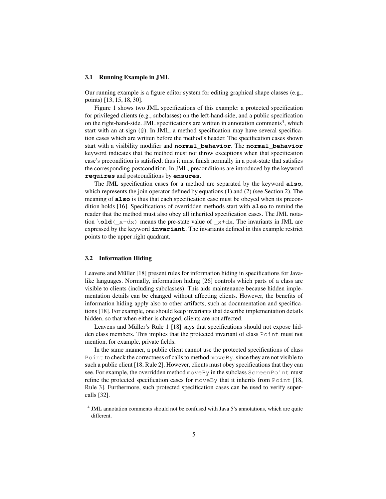#### 3.1 Running Example in JML

Our running example is a figure editor system for editing graphical shape classes (e.g., points) [13, 15, 18, 30].

Figure 1 shows two JML specifications of this example: a protected specification for privileged clients (e.g., subclasses) on the left-hand-side, and a public specification on the right-hand-side. JML specifications are written in annotation comments<sup>4</sup>, which start with an at-sign  $(\theta)$ . In JML, a method specification may have several specification cases which are written before the method's header. The specification cases shown start with a visibility modifier and **normal\_behavior**. The **normal\_behavior** keyword indicates that the method must not throw exceptions when that specification case's precondition is satisfied; thus it must finish normally in a post-state that satisfies the corresponding postcondition. In JML, preconditions are introduced by the keyword **requires** and postconditions by **ensures**.

The JML specification cases for a method are separated by the keyword **also**, which represents the join operator defined by equations  $(1)$  and  $(2)$  (see Section 2). The meaning of **also** is thus that each specification case must be obeyed when its precondition holds [16]. Specifications of overridden methods start with **also** to remind the reader that the method must also obey all inherited specification cases. The JML notation  $\delta d(\mathbf{x}+\mathbf{d}x)$  means the pre-state value of  $\mathbf{x}+\mathbf{d}x$ . The invariants in JML are expressed by the keyword **invariant**. The invariants defined in this example restrict points to the upper right quadrant.

#### 3.2 Information Hiding

Leavens and Müller [18] present rules for information hiding in specifications for Javalike languages. Normally, information hiding [26] controls which parts of a class are visible to clients (including subclasses). This aids maintenance because hidden implementation details can be changed without affecting clients. However, the benefits of information hiding apply also to other artifacts, such as documentation and specifications [18]. For example, one should keep invariants that describe implementation details hidden, so that when either is changed, clients are not affected.

Leavens and Müller's Rule 1 [18] says that specifications should not expose hidden class members. This implies that the protected invariant of class Point must not mention, for example, private fields.

In the same manner, a public client cannot use the protected specifications of class Point to check the correctness of calls to method move By, since they are not visible to such a public client [18, Rule 2]. However, clients must obey specifications that they can see. For example, the overridden method move By in the subclass ScreenPoint must refine the protected specification cases for moveBy that it inherits from Point [18, Rule 3]. Furthermore, such protected specification cases can be used to verify supercalls [32].

<sup>&</sup>lt;sup>4</sup> JML annotation comments should not be confused with Java 5's annotations, which are quite different.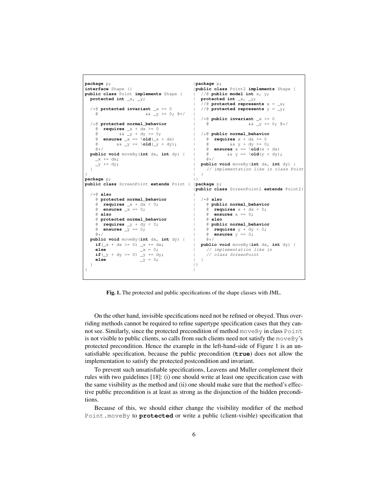```
package p; \qquad \qquad | package p;
interface Shape {}<br>
public class Point implements Shape {<br>
\vert //e public model int x, y;
public class Point implements Shape { protected int \chi, \chi;
                                                  protected int _x, _y; | protected int _x, _y;
                                                      | //@ protected represents x = _x;
  /*@ protected invariant _x >= 0 | //@ protected represents y = _y;
    & \& \& \quad y \; \geq \; 0 \; ; \; 0 \star / \quad |/* @ public invariant \_\times >= 0<br>
@ \&\&\_\_y >= 0; \&\*/\sqrt{*}@ protected normal_behavior
    @ requires _x + dx >= 0 |
    @ && _y + dy >= 0; | /*@ public normal_behavior
       ensures \mathbb{X} == \text{old}(\mathbb{X} + dx) |
    \begin{array}{lllll} @ & & \& \& \; \; \; \; \; \; \; \; \; \; @ & & \& \; \; \; \; \; \; \; \; @ & & \& \; \; \; \; \; \; \; \; \; \; @ & & \& \; \; \; \; \; \; \; \; \; \; @ & & \& \; \; \; \; \; \; \; \; \; @ & & \& \; \; \; \; \; \; \; \; \; \; @ & & \& \; \; \; \; \; \; \; \; \; \; \; @ & & \& \; \; \; \; \; \; \; \; \; \; \; \; @ & & \& \; \;\begin{array}{ll}\n\text{ @ ensures } x == \text{ old}(x + dx) \\
\text{ @ } & \& y == \text{ old}(y + dy);\n\end{array}public void moveBy(int dx, int dy) {
    _x += dx; | @*/
                                                     _y += dy; | public void moveBy(int dx, int dy) {
  } | // implementation like in class Point
\} | \}package p; |public class ScreenPoint extends Point { |package p;
                                                   |public class ScreenPoint2 extends Point2{
  /*@ also |
    @ protected normal_behavior | /*@ also

    \theta ensures \_\text{x} = 0; \qquad \qquad \theta requires x + dx < 0;@ also | @ ensures x == 0;
    @ protected normal_behavior | @ also
    \begin{array}{lllll} \mathsf{@} & \textbf{requires} & \textbf{y} + \textbf{dy} < 0; & & & \\ \mathsf{@} & \textbf{ensures} & \textbf{y} & == & 0; & & \\ \mathsf{@} & \textbf{ensures} & \textbf{y} & == & 0; & & \\ \end{array}@ ensures _y == 0; | @ requires y + dy < 0;
                                                        \theta ensures y = 0;
 public void moveBy(int dx, int dy) { | \mathbf{if} (\_x + dx \ge 0) \_x += dx;if(_x + dx >= 0) _x += dx; | public void moveBy(int dx, int dy) {
                                                       // implementation like in
     if(\frac{1}{y} + dy >= 0) \frac{y}{y} += dy; <br>
else \frac{y}{y} = 0; <br>
else
  } |}
} |
```
Fig. 1. The protected and public specifications of the shape classes with JML.

On the other hand, invisible specifications need not be refined or obeyed. Thus overriding methods cannot be required to refine supertype specification cases that they cannot see. Similarly, since the protected precondition of method moveBy in class Point is not visible to public clients, so calls from such clients need not satisfy the moveBy's protected precondition. Hence the example in the left-hand-side of Figure 1 is an unsatisfiable specification, because the public precondition (**true**) does not allow the implementation to satisfy the protected postcondition and invariant.

To prevent such unsatisfiable specifications, Leavens and Muller complement their rules with two guidelines [18]: (i) one should write at least one specification case with the same visibility as the method and (ii) one should make sure that the method's effective public precondition is at least as strong as the disjunction of the hidden preconditions.

Because of this, we should either change the visibility modifier of the method Point.moveBy to **protected** or write a public (client-visible) specification that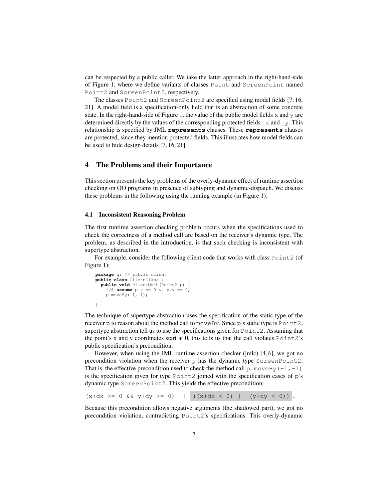can be respected by a public caller. We take the latter approach in the right-hand-side of Figure 1, where we define variants of classes Point and ScreenPoint named Point2 and ScreenPoint2, respectively.

The classes Point2 and ScreenPoint2 are specified using model fields [7, 16, 21]. A model field is a specification-only field that is an abstraction of some concrete state. In the right-hand-side of Figure 1, the value of the public model fields  $x$  and  $y$  are determined directly by the values of the corresponding protected fields  $\_\mathsf{x}$  and  $\_\mathsf{y}$ . This relationship is specified by JML **represents** clauses. These **represents** clauses are protected, since they mention protected fields. This illustrates how model fields can be used to hide design details [7, 16, 21].

## 4 The Problems and their Importance

This section presents the key problems of the overly-dynamic effect of runtime assertion checking on OO programs in presence of subtyping and dynamic-dispatch. We discuss these problems in the following using the running example (in Figure 1).

#### 4.1 Inconsistent Reasoning Problem

The first runtime assertion checking problem occurs when the specifications used to check the correctness of a method call are based on the receiver's dynamic type. The problem, as described in the introduction, is that such checking is inconsistent with supertype abstraction.

For example, consider the following client code that works with class Point2 (of Figure 1):

```
package q; // public client
public class ClientClass {
  public void clientMeth(Point2 p) {
    //@ assume p.x == 0 && p.y == 0;
    p.moveBy(-1,-1);
  }
}
```
The technique of supertype abstraction uses the specification of the static type of the receiver  $p$  to reason about the method call to move By. Since  $p$ 's static type is Point2, supertype abstraction tell us to use the specifications given for Point2. Assuming that the point's x and y coordinates start at 0, this tells us that the call violates  $Point2's$ public specification's precondition.

However, when using the JML runtime assertion checker (jmlc) [4, 6], we got no precondition violation when the receiver p has the dynamic type ScreenPoint2. That is, the effective precondition used to check the method call  $p$ . moveBy (-1,-1) is the specification given for type  $Point2$  joined with the specification cases of  $p's$ dynamic type ScreenPoint2. This yields the effective precondition:

 $(x+dx) = 0$  &  $y+dy = 0$  ||  $((x+dx < 0)$  ||  $(y+dy < 0)$  .

Because this precondition allows negative arguments (the shadowed part), we got no precondition violation, contradicting Point2's specifications. This overly-dynamic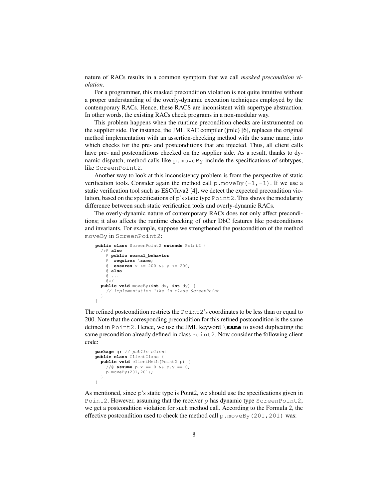nature of RACs results in a common symptom that we call *masked precondition violation*.

For a programmer, this masked precondition violation is not quite intuitive without a proper understanding of the overly-dynamic execution techniques employed by the contemporary RACs. Hence, these RACS are inconsistent with supertype abstraction. In other words, the existing RACs check programs in a non-modular way.

This problem happens when the runtime precondition checks are instrumented on the supplier side. For instance, the JML RAC compiler (jmlc) [6], replaces the original method implementation with an assertion-checking method with the same name, into which checks for the pre- and postconditions that are injected. Thus, all client calls have pre- and postconditions checked on the supplier side. As a result, thanks to dynamic dispatch, method calls like  $p$ . move By include the specifications of subtypes, like ScreenPoint2.

Another way to look at this inconsistency problem is from the perspective of static verification tools. Consider again the method call  $p$ . move By  $(-1, -1)$ . If we use a static verification tool such as ESC/Java2 [4], we detect the expected precondition violation, based on the specifications of  $p$ 's static type  $Point2$ . This shows the modularity difference between such static verification tools and overly-dynamic RACs.

The overly-dynamic nature of contemporary RACs does not only affect preconditions; it also affects the runtime checking of other DbC features like postconditions and invariants. For example, suppose we strengthened the postcondition of the method moveBy in ScreenPoint2:

```
public class ScreenPoint2 extends Point2 {
  /*@ also
   @ public normal_behavior
    @ requires \same;
      @ ensures x <= 200 && y <= 200;
   @ also
    @ ...
   a_{*}/
 public void moveBy(int dx, int dy) {
   // implementation like in class ScreenPoint
  }
}
```
The refined postcondition restricts the Point2's coordinates to be less than or equal to 200. Note that the corresponding precondition for this refined postcondition is the same defined in Point2. Hence, we use the JML keyword \**same** to avoid duplicating the same precondition already defined in class  $Point2$ . Now consider the following client code:

```
package q; // public client
public class ClientClass {
 public void clientMeth(Point2 p) {
    //@ assume p.x == 0 && p.y == 0;
   p.moveBy(201,201);
  }
}
```
As mentioned, since p's static type is Point2, we should use the specifications given in Point2. However, assuming that the receiver p has dynamic type ScreenPoint2, we get a postcondition violation for such method call. According to the Formula 2, the effective postcondition used to check the method call  $p$ . move By (201, 201) was: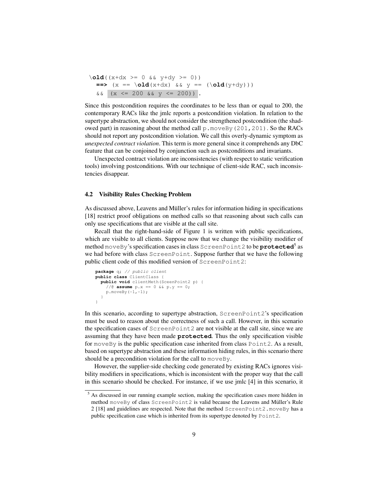```
\delta \old((x+dx >= 0 && y+dy >= 0))
  \Rightarrow (x == \old(x+dx) && y == (\old(y+dy)))
  & (x \le 200 \& x \le 200).
```
Since this postcondition requires the coordinates to be less than or equal to 200, the contemporary RACs like the jmlc reports a postcondition violation. In relation to the supertype abstraction, we should not consider the strengthened postcondition (the shadowed part) in reasoning about the method call p.moveBy(201,201). So the RACs should not report any postcondition violation. We call this overly-dynamic symptom as *unexpected contract violation*. This term is more general since it comprehends any DbC feature that can be conjoined by conjunction such as postconditions and invariants.

Unexpected contract violation are inconsistencies (with respect to static verification tools) involving postconditions. With our technique of client-side RAC, such inconsistencies disappear.

#### 4.2 Visibility Rules Checking Problem

As discussed above, Leavens and Müller's rules for information hiding in specifications [18] restrict proof obligations on method calls so that reasoning about such calls can only use specifications that are visible at the call site.

Recall that the right-hand-side of Figure 1 is written with public specifications, which are visible to all clients. Suppose now that we change the visibility modifier of method moveBy's specification cases in class ScreenPoint2 to be **protected**<sup>5</sup> as we had before with class ScreenPoint. Suppose further that we have the following public client code of this modified version of ScreenPoint2:

```
package q; // public client
public class ClientClass {
  public void clientMeth(SceenPoint2 p) {
    //@ assume p.x == 0 && p.y == 0;
    p.moveBy(-1,-1);}
}
```
In this scenario, according to supertype abstraction, ScreenPoint2's specification must be used to reason about the correctness of such a call. However, in this scenario the specification cases of ScreenPoint2 are not visible at the call site, since we are assuming that they have been made **protected**. Thus the only specification visible for moveBy is the public specification case inherited from class Point2. As a result, based on supertype abstraction and these information hiding rules, in this scenario there should be a precondition violation for the call to move By.

However, the supplier-side checking code generated by existing RACs ignores visibility modifiers in specifications, which is inconsistent with the proper way that the call in this scenario should be checked. For instance, if we use jmlc [4] in this scenario, it

<sup>&</sup>lt;sup>5</sup> As discussed in our running example section, making the specification cases more hidden in method moveBy of class ScreenPoint2 is valid because the Leavens and Müller's Rule 2 [18] and guidelines are respected. Note that the method ScreenPoint2.moveBy has a public specification case which is inherited from its supertype denoted by Point2.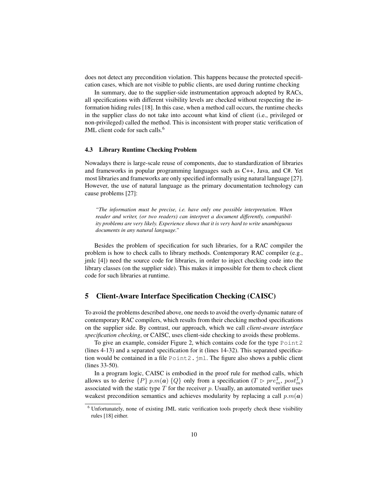does not detect any precondition violation. This happens because the protected specification cases, which are not visible to public clients, are used during runtime checking

In summary, due to the supplier-side instrumentation approach adopted by RACs, all specifications with different visibility levels are checked without respecting the information hiding rules [18]. In this case, when a method call occurs, the runtime checks in the supplier class do not take into account what kind of client (i.e., privileged or non-privileged) called the method. This is inconsistent with proper static verification of JML client code for such calls.<sup>6</sup>

#### 4.3 Library Runtime Checking Problem

Nowadays there is large-scale reuse of components, due to standardization of libraries and frameworks in popular programming languages such as C++, Java, and C#. Yet most libraries and frameworks are only specified informally using natural language [27]. However, the use of natural language as the primary documentation technology can cause problems [27]:

*"The information must be precise, i.e. have only one possible interpretation. When reader and writer, (or two readers) can interpret a document differently, compatibility problems are very likely. Experience shows that it is very hard to write unambiguous documents in any natural language."*

Besides the problem of specification for such libraries, for a RAC compiler the problem is how to check calls to library methods. Contemporary RAC compiler (e.g., jmlc [4]) need the source code for libraries, in order to inject checking code into the library classes (on the supplier side). This makes it impossible for them to check client code for such libraries at runtime.

## 5 Client-Aware Interface Specification Checking (CAISC)

To avoid the problems described above, one needs to avoid the overly-dynamic nature of contemporary RAC compilers, which results from their checking method specifications on the supplier side. By contrast, our approach, which we call *client-aware interface specification checking*, or CAISC, uses client-side checking to avoids these problems.

To give an example, consider Figure 2, which contains code for the type Point2 (lines 4-13) and a separated specification for it (lines 14-32). This separated specification would be contained in a file Point2. jml. The figure also shows a public client (lines 33-50).

In a program logic, CAISC is embodied in the proof rule for method calls, which allows us to derive  $\{P\}$  p.m(a)  $\{Q\}$  only from a specification ( $T \triangleright pre_m^T$ ,  $post_m^T$ ) associated with the static type  $T$  for the receiver  $p$ . Usually, an automated verifier uses weakest precondition semantics and achieves modularity by replacing a call  $p.m(a)$ 

<sup>&</sup>lt;sup>6</sup> Unfortunately, none of existing JML static verification tools properly check these visibility rules [18] either.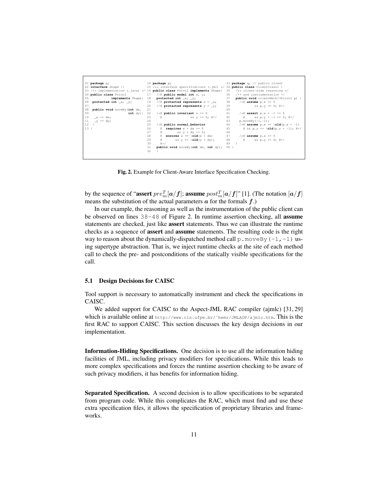| 01 package p;                                                | 14 <b>package</b> p;                                                                                      | 33 package q; // public client                             |
|--------------------------------------------------------------|-----------------------------------------------------------------------------------------------------------|------------------------------------------------------------|
|                                                              | 02 interface Shape {} 15 /** interface specifications (.jml) */ 34 public class ClientClassl {            |                                                            |
|                                                              | 03 /** implementation (.java) */ 16 public class Point2 implements Shape{ 35 /** client-side reasoning */ |                                                            |
| 04 public class Point2 17 // ( $\ell$ public model int x, y; |                                                                                                           | 36 /** and instrumentation */                              |
| 05                                                           | $\sim$ 37                                                                                                 | <b>public void</b> clientMethl(Point2 p) {                 |
| 06 protected int x, y;                                       | 19 //@ protected represents $x = x$ ; 38 /*@ assume p.x == 0                                              |                                                            |
| 07                                                           | 20 //@ protected represents $y = y$ ;                                                                     | 39<br>$&0.0 = 0$ ; $&0.4$                                  |
| 08<br>public void moveBy (int dx,                            | 21                                                                                                        | 40                                                         |
| 09<br>$int dy$ (                                             | 22 /*@ public invariant $x \ge 0$                                                                         | 41 /* ( $\ell$ assert p.x + -1 >= 0                        |
| 10<br>$x \leftrightarrow = dx;$                              | 23<br>$\mathbf{a}$<br>$&&&v&>=0;&0*/$                                                                     | 42<br>$\theta$ & $\theta$ p. $y$ + -1 >= 0; $\theta$ */    |
| 11 _y += dy;                                                 | 24                                                                                                        | 43<br>$p.moveBy(-1,-1);$                                   |
| 12                                                           | 25<br>$/*$ @ public normal behavior                                                                       | 44 /* ( $\&$ assume $p.x == \old(p.x + -1)$                |
| 13.1                                                         | $\ell$ requires $x + dx \ge 0$ 45<br>26                                                                   | $\theta$ && p.y == \old(p.y + -1); $\theta*/$              |
|                                                              | 27<br>$\alpha$ and $\alpha$<br>$\&&\ v + d v > = 0;$ 46                                                   |                                                            |
|                                                              | 28<br><b>e</b> ensures $x == \text{old}(x + dx)$ 47 /* <b>@</b> assume $p.x \ge 0$                        |                                                            |
|                                                              | $\alpha$<br>29                                                                                            | $\&&\vee = \text{old}(v + dy);$ 48 @ $\&&\vee>= 0; \&\neq$ |
|                                                              | 30<br>$\beta \star /$                                                                                     | 49                                                         |
|                                                              | public void moveBy (int dx, int dy);<br>31                                                                | 50 }                                                       |
|                                                              | 32                                                                                                        |                                                            |
|                                                              |                                                                                                           |                                                            |

Fig. 2. Example for Client-Aware Interface Specification Checking.

by the sequence of "assert  $pre_m^T[a/f];$  assume  $post_m^T[a/f]$ " [1]. (The notation  $[a/f]$ means the substitution of the actual parameters  $\alpha$  for the formals  $f$ .)

In our example, the reasoning as well as the instrumentation of the public client can be observed on lines  $38-48$  of Figure 2. In runtime assertion checking, all **assume** statements are checked, just like assert statements. Thus we can illustrate the runtime checks as a sequence of assert and assume statements. The resulting code is the right way to reason about the dynamically-dispatched method call  $p$ . moveBy (-1,-1) using supertype abstraction. That is, we inject runtime checks at the site of each method call to check the pre- and postconditions of the statically visible specifications for the call.

#### 5.1 Design Decisions for CAISC

Tool support is necessary to automatically instrument and check the specifications in CAISC.

We added support for CAISC to the Aspect-JML RAC compiler (ajmlc) [31, 29] which is available online at http://www.cin.ufpe.br/˜hemr/JMLAOP/ajmlc.htm. This is the first RAC to support CAISC. This section discusses the key design decisions in our implementation.

Information-Hiding Specifications. One decision is to use all the information hiding facilities of JML, including privacy modifiers for specifications. While this leads to more complex specifications and forces the runtime assertion checking to be aware of such privacy modifiers, it has benefits for information hiding.

Separated Specification. A second decision is to allow specifications to be separated from program code. While this complicates the RAC, which must find and use these extra specification files, it allows the specification of proprietary libraries and frameworks.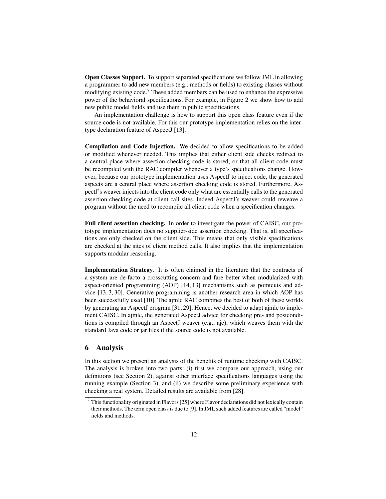Open Classes Support. To support separated specifications we follow JML in allowing a programmer to add new members (e.g., methods or fields) to existing classes without modifying existing code.<sup>7</sup> These added members can be used to enhance the expressive power of the behavioral specifications. For example, in Figure 2 we show how to add new public model fields and use them in public specifications.

An implementation challenge is how to support this open class feature even if the source code is not available. For this our prototype implementation relies on the intertype declaration feature of AspectJ [13].

Compilation and Code Injection. We decided to allow specifications to be added or modified whenever needed. This implies that either client side checks redirect to a central place where assertion checking code is stored, or that all client code must be recompiled with the RAC compiler whenever a type's specifications change. However, because our prototype implementation uses AspectJ to inject code, the generated aspects are a central place where assertion checking code is stored. Furthermore, AspectJ's weaver injects into the client code only what are essentially calls to the generated assertion checking code at client call sites. Indeed AspectJ's weaver could reweave a program without the need to recompile all client code when a specification changes.

Full client assertion checking. In order to investigate the power of CAISC, our prototype implementation does no supplier-side assertion checking. That is, all specifications are only checked on the client side. This means that only visible specifications are checked at the sites of client method calls. It also implies that the implementation supports modular reasoning.

Implementation Strategy. It is often claimed in the literature that the contracts of a system are de-facto a crosscutting concern and fare better when modularized with aspect-oriented programming (AOP) [14, 13] mechanisms such as pointcuts and advice [13, 3, 30]. Generative programming is another research area in which AOP has been successfully used [10]. The ajmlc RAC combines the best of both of these worlds by generating an AspectJ program [31, 29]. Hence, we decided to adapt ajmlc to implement CAISC. In ajmlc, the generated AspectJ advice for checking pre- and postconditions is compiled through an AspectJ weaver (e.g., ajc), which weaves them with the standard Java code or jar files if the source code is not available.

## 6 Analysis

In this section we present an analysis of the benefits of runtime checking with CAISC. The analysis is broken into two parts: (i) first we compare our approach, using our definitions (see Section 2), against other interface specifications languages using the running example (Section 3), and (ii) we describe some preliminary experience with checking a real system. Detailed results are available from [28].

 $7$  This functionality originated in Flavors [25] where Flavor declarations did not lexically contain their methods. The term open class is due to [9]. In JML such added features are called "model" fields and methods.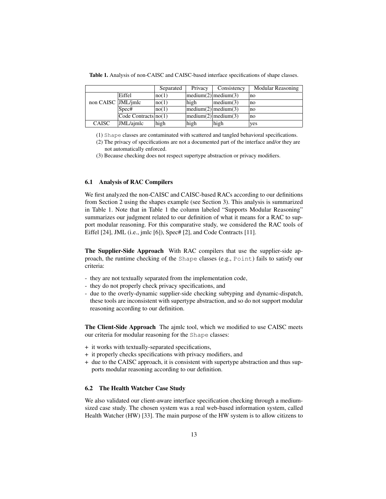|                    |                                           | Separated | Privacy | Consistency         | <b>Modular Reasoning</b> |
|--------------------|-------------------------------------------|-----------|---------|---------------------|--------------------------|
|                    | Eiffel                                    | no(1)     |         | medium(2) medium(3) | no                       |
| non CAISC JML/imlc |                                           | no(1)     | high    | median(3)           | no                       |
|                    | Spec#                                     | no(1)     |         | medium(2) medium(3) | no                       |
|                    | $\text{Code contracts} \mid \text{no}(1)$ |           |         | medium(2) medium(3) | no                       |
| <b>CAISC</b>       | JML/ajmlc                                 | high      | high    | high                | ves                      |

Table 1. Analysis of non-CAISC and CAISC-based interface specifications of shape classes.

(1) Shape classes are contaminated with scattered and tangled behavioral specifications.

(2) The privacy of specifications are not a documented part of the interface and/or they are not automatically enforced.

(3) Because checking does not respect supertype abstraction or privacy modifiers.

#### 6.1 Analysis of RAC Compilers

We first analyzed the non-CAISC and CAISC-based RACs according to our definitions from Section 2 using the shapes example (see Section 3). This analysis is summarized in Table 1. Note that in Table 1 the column labeled "Supports Modular Reasoning" summarizes our judgment related to our definition of what it means for a RAC to support modular reasoning. For this comparative study, we considered the RAC tools of Eiffel [24], JML (i.e., jmlc [6]), Spec# [2], and Code Contracts [11].

The Supplier-Side Approach With RAC compilers that use the supplier-side approach, the runtime checking of the Shape classes (e.g., Point) fails to satisfy our criteria:

- they are not textually separated from the implementation code,
- they do not properly check privacy specifications, and
- due to the overly-dynamic supplier-side checking subtyping and dynamic-dispatch, these tools are inconsistent with supertype abstraction, and so do not support modular reasoning according to our definition.

The Client-Side Approach The ajmlc tool, which we modified to use CAISC meets our criteria for modular reasoning for the Shape classes:

- + it works with textually-separated specifications,
- + it properly checks specifications with privacy modifiers, and
- + due to the CAISC approach, it is consistent with supertype abstraction and thus supports modular reasoning according to our definition.

## 6.2 The Health Watcher Case Study

We also validated our client-aware interface specification checking through a mediumsized case study. The chosen system was a real web-based information system, called Health Watcher (HW) [33]. The main purpose of the HW system is to allow citizens to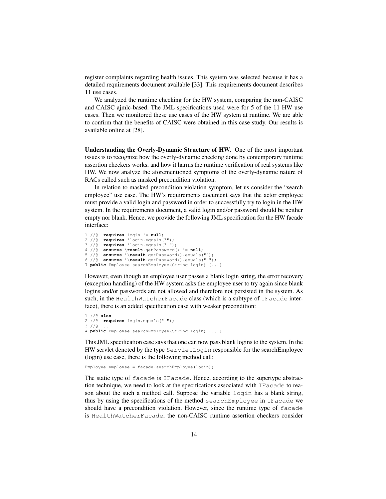register complaints regarding health issues. This system was selected because it has a detailed requirements document available [33]. This requirements document describes 11 use cases.

We analyzed the runtime checking for the HW system, comparing the non-CAISC and CAISC ajmlc-based. The JML specifications used were for 5 of the 11 HW use cases. Then we monitored these use cases of the HW system at runtime. We are able to confirm that the benefits of CAISC were obtained in this case study. Our results is available online at [28].

Understanding the Overly-Dynamic Structure of HW. One of the most important issues is to recognize how the overly-dynamic checking done by contemporary runtime assertion checkers works, and how it harms the runtime verification of real systems like HW. We now analyze the aforementioned symptoms of the overly-dynamic nature of RACs called such as masked precondition violation.

In relation to masked precondition violation symptom, let us consider the "search employee" use case. The HW's requirements document says that the actor employee must provide a valid login and password in order to successfully try to login in the HW system. In the requirements document, a valid login and/or password should be neither empty nor blank. Hence, we provide the following JML specification for the HW facade interface:

```
1 //@ requires login != null;
2 //@ requires !login.equals("");
3 //@ requires !login.equals(" ");
4 //@ ensures \result.getPassword() != null;
5 //@ ensures !\result.getPassword().equals("");
6 //@ ensures !\result.getPassword().equals(" ");
7 public Employee searchEmployee(String login) {...}
```
However, even though an employee user passes a blank login string, the error recovery (exception handling) of the HW system asks the employee user to try again since blank logins and/or passwords are not allowed and therefore not persisted in the system. As such, in the HealthWatcherFacade class (which is a subtype of IFacade interface), there is an added specification case with weaker precondition:

```
1 //@ also
2 //@ requires login.equals(" ");
3 //@ ...
4 public Employee searchEmployee(String login) {...}
```
This JML specification case says that one can now pass blank logins to the system. In the HW servlet denoted by the type ServletLogin responsible for the searchEmployee (login) use case, there is the following method call:

Employee employee = facade.searchEmployee(login);

The static type of facade is IFacade. Hence, according to the supertype abstraction technique, we need to look at the specifications associated with IFacade to reason about the such a method call. Suppose the variable login has a blank string, thus by using the specifications of the method searchEmployee in IFacade we should have a precondition violation. However, since the runtime type of facade is HealthWatcherFacade, the non-CAISC runtime assertion checkers consider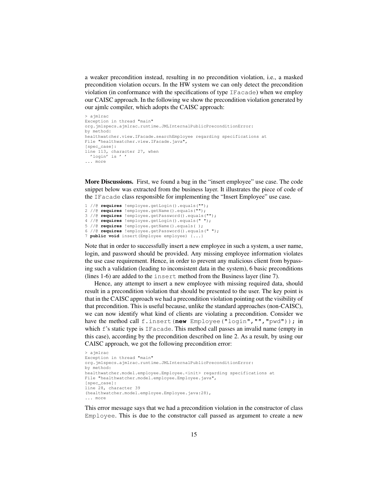a weaker precondition instead, resulting in no precondition violation, i.e., a masked precondition violation occurs. In the HW system we can only detect the precondition violation (in conformance with the specifications of type IFacade) when we employ our CAISC approach. In the following we show the precondition violation generated by our ajmlc compiler, which adopts the CAISC approach:

```
> ajmlrac
Exception in thread "main"
org.jmlspecs.ajmlrac.runtime.JMLInternalPublicPreconditionError:
by method:
healthwatcher.view.IFacade.searchEmployee regarding specifications at
File "healthwatcher.view.IFacade.java",
[spec_case]:
line 113, character 27, when
  'login' is ' '
... more
```
More Discussions. First, we found a bug in the "insert employee" use case. The code snippet below was extracted from the business layer. It illustrates the piece of code of the IFacade class responsible for implementing the "Insert Employee" use case.

1 //@ **requires** !employee.getLogin().equals(""); 2 //@ **requires** !employee.getName().equals(""); 3 //@ **requires** !employee.getPassword().equals(""); 4 //@ **requires** !employee.getLogin().equals(" "); 5 //@ **requires** !employee.getName().equals( ); 6 //@ **requires** !employee.getPassword().equals(" "); 7 **public void** insert(Employee employee) {**..**.}

Note that in order to successfully insert a new employee in such a system, a user name, login, and password should be provided. Any missing employee information violates the use case requirement. Hence, in order to prevent any malicious client from bypassing such a validation (leading to inconsistent data in the system), 6 basic preconditions (lines 1-6) are added to the insert method from the Business layer (line 7).

Hence, any attempt to insert a new employee with missing required data, should result in a precondition violation that should be presented to the user. The key point is that in the CAISC approach we had a precondition violation pointing out the visibility of that precondition. This is useful because, unlike the standard approaches (non-CAISC), we can now identify what kind of clients are violating a precondition. Consider we have the method call f.insert(**new** Employee("login","","pwd")); in which f's static type is IFacade. This method call passes an invalid name (empty in this case), according by the precondition described on line 2. As a result, by using our CAISC approach, we got the following precondition error:

```
> ajmlrac
Exception in thread "main"
org.jmlspecs.ajmlrac.runtime.JMLInternalPublicPreconditionError:
by method:
healthwatcher.model.employee.Employee.<init> regarding specifications at
File "healthwatcher.model.employee.Employee.java",
[spec_case]:
line 28, character 39
(healthwatcher.model.employee.Employee.java:28),
... more
```
This error message says that we had a precondition violation in the constructor of class Employee. This is due to the constructor call passed as argument to create a new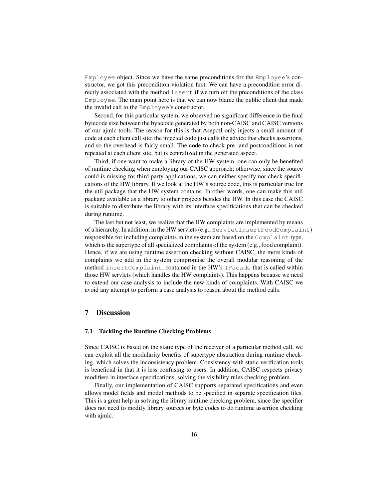Employee object. Since we have the same preconditions for the Employee's constructor, we got this precondition violation first. We can have a precondition error directly associated with the method insert if we turn off the preconditions of the class Employee. The main point here is that we can now blame the public client that made the invalid call to the Employee's constructor.

Second, for this particular system, we observed no significant difference in the final bytecode size between the bytecode generated by both non-CAISC and CAISC versions of our ajmlc tools. The reason for this is that AsepctJ only injects a small amount of code at each client call site; the injected code just calls the advice that checks assertions, and so the overhead is fairly small. The code to check pre- and postconditions is not repeated at each client site, but is centralized in the generated aspect.

Third, if one want to make a library of the HW system, one can only be benefited of runtime checking when employing our CAISC approach; otherwise, since the source could is missing for third party applications, we can neither specify nor check specifications of the HW library. If we look at the HW's source code, this is particular true for the util package that the HW system contains. In other words, one can make this util package available as a library to other projects besides the HW. In this case the CAISC is suitable to distribute the library with its interface specifications that can be checked during runtime.

The last but not least, we realize that the HW complaints are implemented by means of a hierarchy. In addition, in the HW servlets (e.g., ServletInsertFoodComplaint) responsible for including complaints in the system are based on the Complaint type, which is the supertype of all specialized complaints of the system (e.g., food complaint). Hence, if we are using runtime assertion checking without CAISC, the more kinds of complaints we add in the system compromise the overall modular reasoning of the method insertComplaint, contained in the HW's IFacade that is called within those HW servlets (which handles the HW complaints). This happens because we need to extend our case analysis to include the new kinds of complaints. With CAISC we avoid any attempt to perform a case analysis to reason about the method calls.

## 7 Discussion

#### 7.1 Tackling the Runtime Checking Problems

Since CAISC is based on the static type of the receiver of a particular method call, we can exploit all the modularity benefits of supertype abstraction during runtime checking, which solves the inconsistency problem. Consistency with static verification tools is beneficial in that it is less confusing to users. In addition, CAISC respects privacy modifiers in interface specifications, solving the visibility rules checking problem.

Finally, our implementation of CAISC supports separated specifications and even allows model fields and model methods to be specified in separate specification files. This is a great help in solving the library runtime checking problem, since the specifier does not need to modify library sources or byte codes to do runtime assertion checking with ajmlc.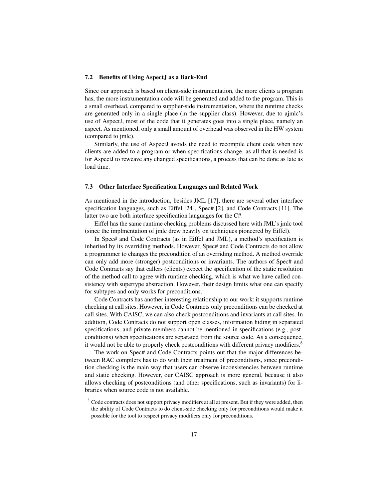#### 7.2 Benefits of Using AspectJ as a Back-End

Since our approach is based on client-side instrumentation, the more clients a program has, the more instrumentation code will be generated and added to the program. This is a small overhead, compared to supplier-side instrumentation, where the runtime checks are generated only in a single place (in the supplier class). However, due to ajmlc's use of AspectJ, most of the code that it generates goes into a single place, namely an aspect. As mentioned, only a small amount of overhead was observed in the HW system (compared to jmlc).

Similarly, the use of AspectJ avoids the need to recompile client code when new clients are added to a program or when specifications change, as all that is needed is for AspectJ to reweave any changed specifications, a process that can be done as late as load time.

#### 7.3 Other Interface Specification Languages and Related Work

As mentioned in the introduction, besides JML [17], there are several other interface specification languages, such as Eiffel [24], Spec# [2], and Code Contracts [11]. The latter two are both interface specification languages for the C#.

Eiffel has the same runtime checking problems discussed here with JML's jmlc tool (since the implmentation of jmlc drew heavily on techniques pioneered by Eiffel).

In Spec# and Code Contracts (as in Eiffel and JML), a method's specification is inherited by its overriding methods. However, Spec# and Code Contracts do not allow a programmer to changes the precondition of an overriding method. A method override can only add more (stronger) postconditions or invariants. The authors of Spec# and Code Contracts say that callers (clients) expect the specification of the static resolution of the method call to agree with runtime checking, which is what we have called consistency with supertype abstraction. However, their design limits what one can specify for subtypes and only works for preconditions.

Code Contracts has another interesting relationship to our work: it supports runtime checking at call sites. However, in Code Contracts only preconditions can be checked at call sites. With CAISC, we can also check postconditions and invariants at call sites. In addition, Code Contracts do not support open classes, information hiding in separated specifications, and private members cannot be mentioned in specifications (e.g., postconditions) when specifications are separated from the source code. As a consequence, it would not be able to properly check postconditions with different privacy modifiers.<sup>8</sup>

The work on Spec# and Code Contracts points out that the major differences between RAC compilers has to do with their treatment of preconditions, since precondition checking is the main way that users can observe inconsistencies between runtime and static checking. However, our CAISC approach is more general, because it also allows checking of postconditions (and other specifications, such as invariants) for libraries when source code is not available.

<sup>&</sup>lt;sup>8</sup> Code contracts does not support privacy modifiers at all at present. But if they were added, then the ability of Code Contracts to do client-side checking only for preconditions would make it possible for the tool to respect privacy modifiers only for preconditions.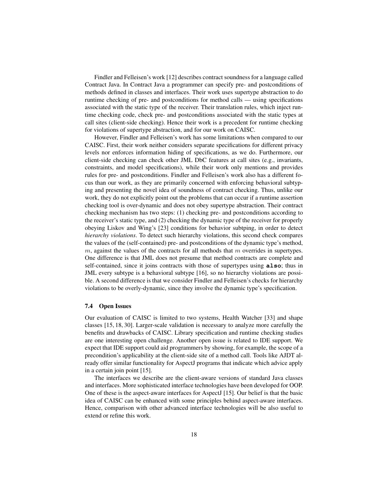Findler and Felleisen's work [12] describes contract soundness for a language called Contract Java. In Contract Java a programmer can specify pre- and postconditions of methods defined in classes and interfaces. Their work uses supertype abstraction to do runtime checking of pre- and postconditions for method calls — using specifications associated with the static type of the receiver. Their translation rules, which inject runtime checking code, check pre- and postconditions associated with the static types at call sites (client-side checking). Hence their work is a precedent for runtime checking for violations of supertype abstraction, and for our work on CAISC.

However, Findler and Felleisen's work has some limitations when compared to our CAISC. First, their work neither considers separate specifications for different privacy levels nor enforces information hiding of specifications, as we do. Furthermore, our client-side checking can check other JML DbC features at call sites (e.g., invariants, constraints, and model specifications), while their work only mentions and provides rules for pre- and postconditions. Findler and Felleisen's work also has a different focus than our work, as they are primarily concerned with enforcing behavioral subtyping and presenting the novel idea of soundness of contract checking. Thus, unlike our work, they do not explicitly point out the problems that can occur if a runtime assertion checking tool is over-dynamic and does not obey supertype abstraction. Their contract checking mechanism has two steps: (1) checking pre- and postconditions according to the receiver's static type, and (2) checking the dynamic type of the receiver for properly obeying Liskov and Wing's [23] conditions for behavior subtping, in order to detect *hierarchy violations*. To detect such hierarchy violations, this second check compares the values of the (self-contained) pre- and postconditions of the dynamic type's method, m, against the values of the contracts for all methods that m overrides in supertypes. One difference is that JML does not presume that method contracts are complete and self-contained, since it joins contracts with those of supertypes using **also**; thus in JML every subtype is a behavioral subtype [16], so no hierarchy violations are possible. A second difference is that we consider Findler and Felleisen's checks for hierarchy violations to be overly-dynamic, since they involve the dynamic type's specification.

#### 7.4 Open Issues

Our evaluation of CAISC is limited to two systems, Health Watcher [33] and shape classes [15, 18, 30]. Larger-scale validation is necessary to analyze more carefully the benefits and drawbacks of CAISC. Library specification and runtime checking studies are one interesting open challenge. Another open issue is related to IDE support. We expect that IDE support could aid programmers by showing, for example, the scope of a precondition's applicability at the client-side site of a method call. Tools like AJDT already offer similar functionality for AspectJ programs that indicate which advice apply in a certain join point [15].

The interfaces we describe are the client-aware versions of standard Java classes and interfaces. More sophisticated interface technologies have been developed for OOP. One of these is the aspect-aware interfaces for AspectJ [15]. Our belief is that the basic idea of CAISC can be enhanced with some principles behind aspect-aware interfaces. Hence, comparison with other advanced interface technologies will be also useful to extend or refine this work.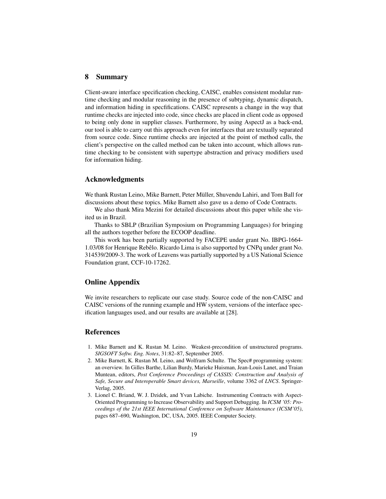## 8 Summary

Client-aware interface specification checking, CAISC, enables consistent modular runtime checking and modular reasoning in the presence of subtyping, dynamic dispatch, and information hiding in specfifications. CAISC represents a change in the way that runtime checks are injected into code, since checks are placed in client code as opposed to being only done in supplier classes. Furthermore, by using AspectJ as a back-end, our tool is able to carry out this approach even for interfaces that are textually separated from source code. Since runtime checks are injected at the point of method calls, the client's perspective on the called method can be taken into account, which allows runtime checking to be consistent with supertype abstraction and privacy modifiers used for information hiding.

## Acknowledgments

We thank Rustan Leino, Mike Barnett, Peter Müller, Shuvendu Lahiri, and Tom Ball for discussions about these topics. Mike Barnett also gave us a demo of Code Contracts.

We also thank Mira Mezini for detailed discussions about this paper while she visited us in Brazil.

Thanks to SBLP (Brazilian Symposium on Programming Languages) for bringing all the authors together before the ECOOP deadline.

This work has been partially supported by FACEPE under grant No. IBPG-1664- 1.03/08 for Henrique Rebelo. Ricardo Lima is also supported by CNPq under grant No. ˆ 314539/2009-3. The work of Leavens was partially supported by a US National Science Foundation grant, CCF-10-17262.

## Online Appendix

We invite researchers to replicate our case study. Source code of the non-CAISC and CAISC versions of the running example and HW system, versions of the interface specification languages used, and our results are available at [28].

## References

- 1. Mike Barnett and K. Rustan M. Leino. Weakest-precondition of unstructured programs. *SIGSOFT Softw. Eng. Notes*, 31:82–87, September 2005.
- 2. Mike Barnett, K. Rustan M. Leino, and Wolfram Schulte. The Spec# programming system: an overview. In Gilles Barthe, Lilian Burdy, Marieke Huisman, Jean-Louis Lanet, and Traian Muntean, editors, *Post Conference Proceedings of CASSIS: Construction and Analysis of Safe, Secure and Interoperable Smart devices, Marseille*, volume 3362 of *LNCS*. Springer-Verlag, 2005.
- 3. Lionel C. Briand, W. J. Dzidek, and Yvan Labiche. Instrumenting Contracts with Aspect-Oriented Programming to Increase Observability and Support Debugging. In *ICSM '05: Proceedings of the 21st IEEE International Conference on Software Maintenance (ICSM'05)*, pages 687–690, Washington, DC, USA, 2005. IEEE Computer Society.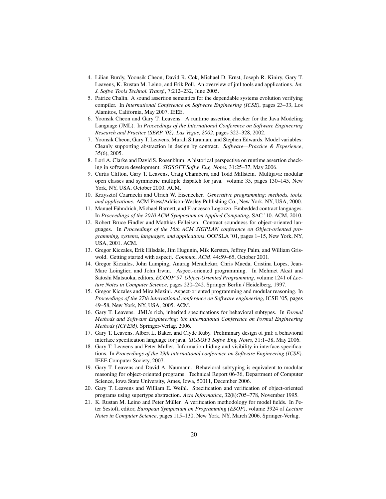- 4. Lilian Burdy, Yoonsik Cheon, David R. Cok, Michael D. Ernst, Joseph R. Kiniry, Gary T. Leavens, K. Rustan M. Leino, and Erik Poll. An overview of jml tools and applications. *Int. J. Softw. Tools Technol. Transf.*, 7:212–232, June 2005.
- 5. Patrice Chalin. A sound assertion semantics for the dependable systems evolution verifying compiler. In *International Conference on Software Engineering (ICSE)*, pages 23–33, Los Alamitos, California, May 2007. IEEE.
- 6. Yoonsik Cheon and Gary T. Leavens. A runtime assertion checker for the Java Modeling Language (JML). In *Proceedings of the International Conference on Software Engineering Research and Practice (SERP '02), Las Vegas, 2002*, pages 322–328, 2002.
- 7. Yoonsik Cheon, Gary T. Leavens, Murali Sitaraman, and Stephen Edwards. Model variables: Cleanly supporting abstraction in design by contract. *Software—Practice & Experience*, 35(6), 2005.
- 8. Lori A. Clarke and David S. Rosenblum. A historical perspective on runtime assertion checking in software development. *SIGSOFT Softw. Eng. Notes*, 31:25–37, May 2006.
- 9. Curtis Clifton, Gary T. Leavens, Craig Chambers, and Todd Millstein. Multijava: modular open classes and symmetric multiple dispatch for java. volume 35, pages 130–145, New York, NY, USA, October 2000. ACM.
- 10. Krzysztof Czarnecki and Ulrich W. Eisenecker. *Generative programming: methods, tools, and applications*. ACM Press/Addison-Wesley Publishing Co., New York, NY, USA, 2000.
- 11. Manuel Fähndrich, Michael Barnett, and Francesco Logozzo. Embedded contract languages. In *Proceedings of the 2010 ACM Symposium on Applied Computing*, SAC '10. ACM, 2010.
- 12. Robert Bruce Findler and Matthias Felleisen. Contract soundness for object-oriented languages. In *Proceedings of the 16th ACM SIGPLAN conference on Object-oriented programming, systems, languages, and applications*, OOPSLA '01, pages 1–15, New York, NY, USA, 2001. ACM.
- 13. Gregor Kiczales, Erik Hilsdale, Jim Hugunin, Mik Kersten, Jeffrey Palm, and William Griswold. Getting started with aspectj. *Commun. ACM*, 44:59–65, October 2001.
- 14. Gregor Kiczales, John Lamping, Anurag Mendhekar, Chris Maeda, Cristina Lopes, Jean-Marc Loingtier, and John Irwin. Aspect-oriented programming. In Mehmet Aksit and Satoshi Matsuoka, editors, *ECOOP'97 Object-Oriented Programming*, volume 1241 of *Lecture Notes in Computer Science*, pages 220–242. Springer Berlin / Heidelberg, 1997.
- 15. Gregor Kiczales and Mira Mezini. Aspect-oriented programming and modular reasoning. In *Proceedings of the 27th international conference on Software engineering*, ICSE '05, pages 49–58, New York, NY, USA, 2005. ACM.
- 16. Gary T. Leavens. JML's rich, inherited specifications for behavioral subtypes. In *Formal Methods and Software Engineering: 8th International Conference on Formal Engineering Methods (ICFEM)*. Springer-Verlag, 2006.
- 17. Gary T. Leavens, Albert L. Baker, and Clyde Ruby. Preliminary design of jml: a behavioral interface specification language for java. *SIGSOFT Softw. Eng. Notes*, 31:1–38, May 2006.
- 18. Gary T. Leavens and Peter Muller. Information hiding and visibility in interface specifications. In *Proceedings of the 29th international conference on Software Engineering (ICSE)*. IEEE Computer Society, 2007.
- 19. Gary T. Leavens and David A. Naumann. Behavioral subtyping is equivalent to modular reasoning for object-oriented programs. Technical Report 06-36, Department of Computer Science, Iowa State University, Ames, Iowa, 50011, December 2006.
- 20. Gary T. Leavens and William E. Weihl. Specification and verification of object-oriented programs using supertype abstraction. *Acta Informatica*, 32(8):705–778, November 1995.
- 21. K. Rustan M. Leino and Peter Müller. A verification methodology for model fields. In Peter Sestoft, editor, *European Symposium on Programming (ESOP)*, volume 3924 of *Lecture Notes in Computer Science*, pages 115–130, New York, NY, March 2006. Springer-Verlag.